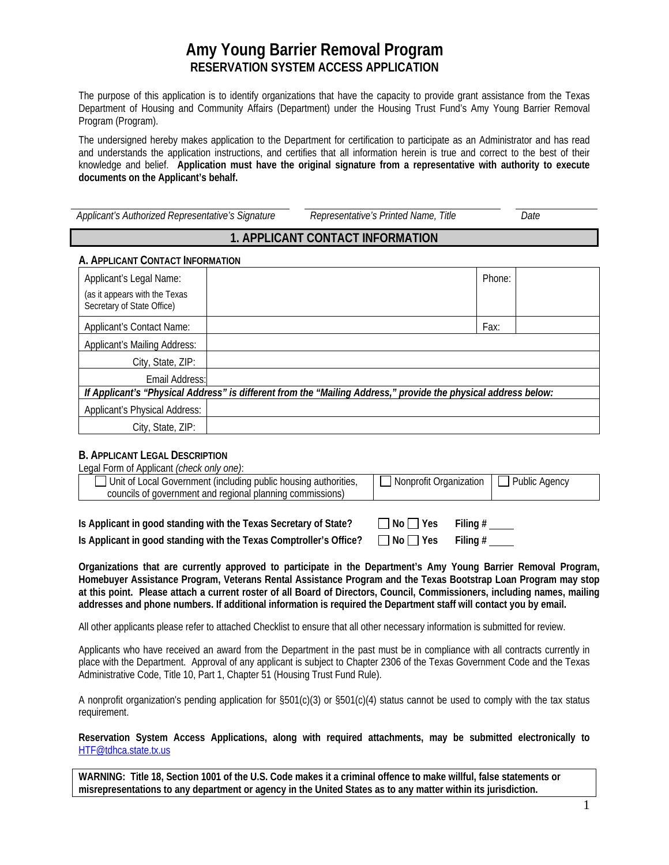# **Amy Young Barrier Removal Program RESERVATION SYSTEM ACCESS APPLICATION**

The purpose of this application is to identify organizations that have the capacity to provide grant assistance from the Texas Department of Housing and Community Affairs (Department) under the Housing Trust Fund's Amy Young Barrier Removal Program (Program).

The undersigned hereby makes application to the Department for certification to participate as an Administrator and has read and understands the application instructions, and certifies that all information herein is true and correct to the best of their knowledge and belief. **Application must have the original signature from a representative with authority to execute documents on the Applicant's behalf.** 

| Applicant's Authorized Representative's Signature | Representative's Printed Name, Title | Date |
|---------------------------------------------------|--------------------------------------|------|
|                                                   |                                      |      |

## **1. APPLICANT CONTACT INFORMATION**

### **A. APPLICANT CONTACT INFORMATION**

| Applicant's Legal Name:<br>(as it appears with the Texas<br>Secretary of State Office)                         |  | Phone: |  |  |
|----------------------------------------------------------------------------------------------------------------|--|--------|--|--|
| <b>Applicant's Contact Name:</b>                                                                               |  | Fax:   |  |  |
| <b>Applicant's Mailing Address:</b>                                                                            |  |        |  |  |
| City, State, ZIP:                                                                                              |  |        |  |  |
| Email Address:                                                                                                 |  |        |  |  |
| If Applicant's "Physical Address" is different from the "Mailing Address," provide the physical address below: |  |        |  |  |
| <b>Applicant's Physical Address:</b>                                                                           |  |        |  |  |
| City, State, ZIP:                                                                                              |  |        |  |  |

### **B. APPLICANT LEGAL DESCRIPTION**

| Legal Form of Applicant (check only one):                       |                        |               |
|-----------------------------------------------------------------|------------------------|---------------|
| Unit of Local Government (including public housing authorities, | Nonprofit Organization | Public Agency |
| councils of government and regional planning commissions)       |                        |               |
|                                                                 |                        |               |

**Is Applicant in good standing with the Texas Secretary of State?**  $\Box$  No  $\Box$  Yes Filing #

  $\mathsf{Filing}\,\#$ **Is Applicant in good standing with the Texas Comptroller's Office?** □ No □ Yes

**Organizations that are currently approved to participate in the Department's Amy Young Barrier Removal Program, Homebuyer Assistance Program, Veterans Rental Assistance Program and the Texas Bootstrap Loan Program may stop at this point. Please attach a current roster of all Board of Directors, Council, Commissioners, including names, mailing** 

**addresses and phone numbers. If additional information is required the Department staff will contact you by email.**  All other applicants please refer to attached Checklist to ensure that all other necessary information is submitted for review.

Applicants who have received an award from the Department in the past must be in compliance with all contracts currently in place with the Department. Approval of any applicant is subject to Chapter 2306 of the Texas Government Code and the Texas Administrative Code, Title 10, Part 1, Chapter 51 (Housing Trust Fund Rule).

A nonprofit organization's pending application for §501(c)(3) or §501(c)(4) status cannot be used to comply with the tax status requirement.

**Reservation System Access Applications, along with required attachments, may be submitted electronically to**  HTF@tdhca.state.tx.us

**WARNING: Title 18, Section 1001 of the U.S. Code makes it a criminal offence to make willful, false statements or misrepresentations to any department or agency in the United States as to any matter within its jurisdiction.**